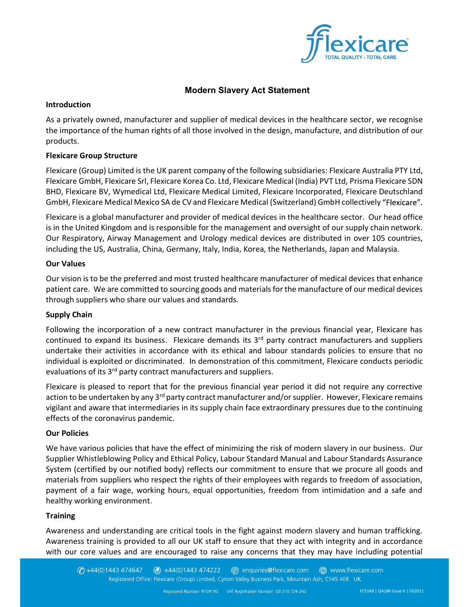

# Modern Slavery Act Statement

### Introduction

As a privately owned, manufacturer and supplier of medical devices in the healthcare sector, we recognise the importance of the human rights of all those involved in the design, manufacture, and distribution of our products.

## Flexicare Group Structure

Flexicare (Group) Limited is the UK parent company of the following subsidiaries: Flexicare Australia PTY Ltd, Flexicare GmbH, Flexicare Srl, Flexicare Korea Co. Ltd, Flexicare Medical (India) PVT Ltd, Prisma Flexicare SDN BHD, Flexicare BV, Wymedical Ltd, Flexicare Medical Limited, Flexicare Incorporated, Flexicare Deutschland GmbH, Flexicare Medical Mexico SA de CV and Flexicare Medical (Switzerland) GmbH collectively "Flexicare".

Flexicare is a global manufacturer and provider of medical devices in the healthcare sector. Our head office is in the United Kingdom and is responsible for the management and oversight of our supply chain network. Our Respiratory, Airway Management and Urology medical devices are distributed in over 105 countries, including the US, Australia, China, Germany, Italy, India, Korea, the Netherlands, Japan and Malaysia.

## Our Values

Our vision is to be the preferred and most trusted healthcare manufacturer of medical devices that enhance patient care. We are committed to sourcing goods and materials for the manufacture of our medical devices through suppliers who share our values and standards.

# Supply Chain

Following the incorporation of a new contract manufacturer in the previous financial year, Flexicare has continued to expand its business. Flexicare demands its 3<sup>rd</sup> party contract manufacturers and suppliers undertake their activities in accordance with its ethical and labour standards policies to ensure that no individual is exploited or discriminated. In demonstration of this commitment, Flexicare conducts periodic evaluations of its 3<sup>rd</sup> party contract manufacturers and suppliers.

Flexicare is pleased to report that for the previous financial year period it did not require any corrective action to be undertaken by any 3<sup>rd</sup> party contract manufacturer and/or supplier. However, Flexicare remains vigilant and aware that intermediaries in its supply chain face extraordinary pressures due to the continuing effects of the coronavirus pandemic.

### Our Policies

We have various policies that have the effect of minimizing the risk of modern slavery in our business. Our Supplier Whistleblowing Policy and Ethical Policy, Labour Standard Manual and Labour Standards Assurance System (certified by our notified body) reflects our commitment to ensure that we procure all goods and materials from suppliers who respect the rights of their employees with regards to freedom of association, payment of a fair wage, working hours, equal opportunities, freedom from intimidation and a safe and healthy working environment.

### **Training**

Awareness and understanding are critical tools in the fight against modern slavery and human trafficking. Awareness training is provided to all our UK staff to ensure that they act with integrity and in accordance with our core values and are encouraged to raise any concerns that they may have including potential